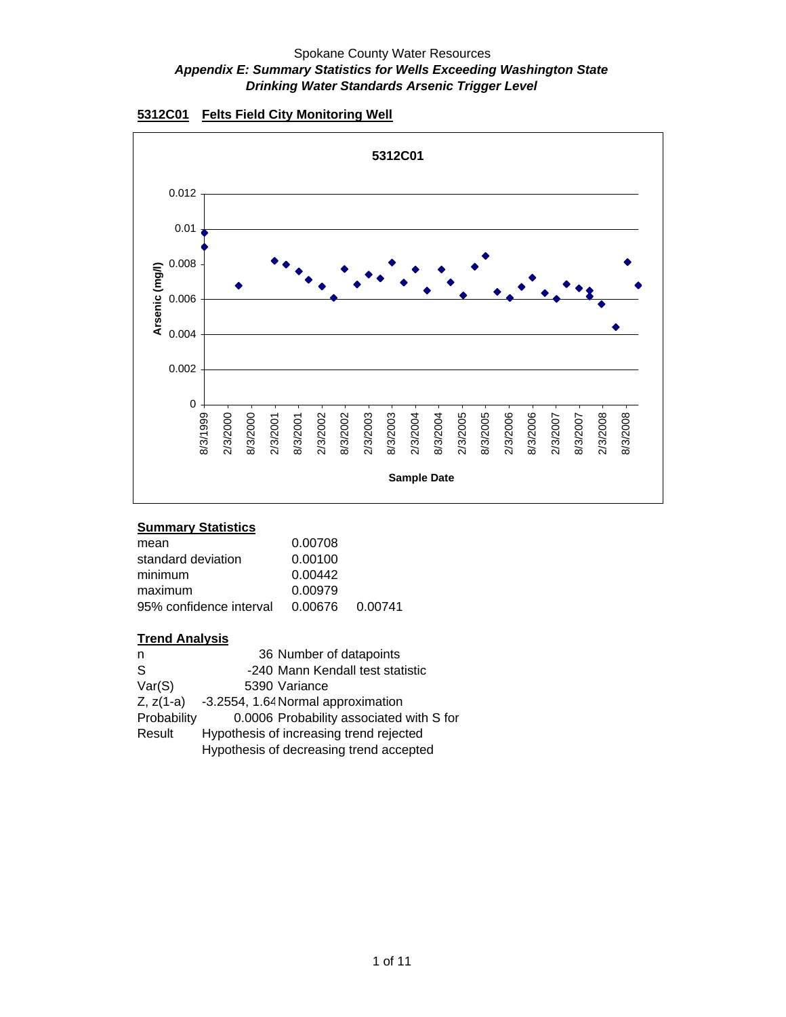



## **Summary Statistics**

| mean                    | 0.00708         |  |
|-------------------------|-----------------|--|
| standard deviation      | 0.00100         |  |
| minimum                 | 0.00442         |  |
| maximum                 | 0.00979         |  |
| 95% confidence interval | 0.00676 0.00741 |  |

| n           | 36 Number of datapoints                  |
|-------------|------------------------------------------|
| S           | -240 Mann Kendall test statistic         |
| Var(S)      | 5390 Variance                            |
| $Z, z(1-a)$ | -3.2554, 1.64 Normal approximation       |
| Probability | 0.0006 Probability associated with S for |
| Result      | Hypothesis of increasing trend rejected  |
|             | Hypothesis of decreasing trend accepted  |
|             |                                          |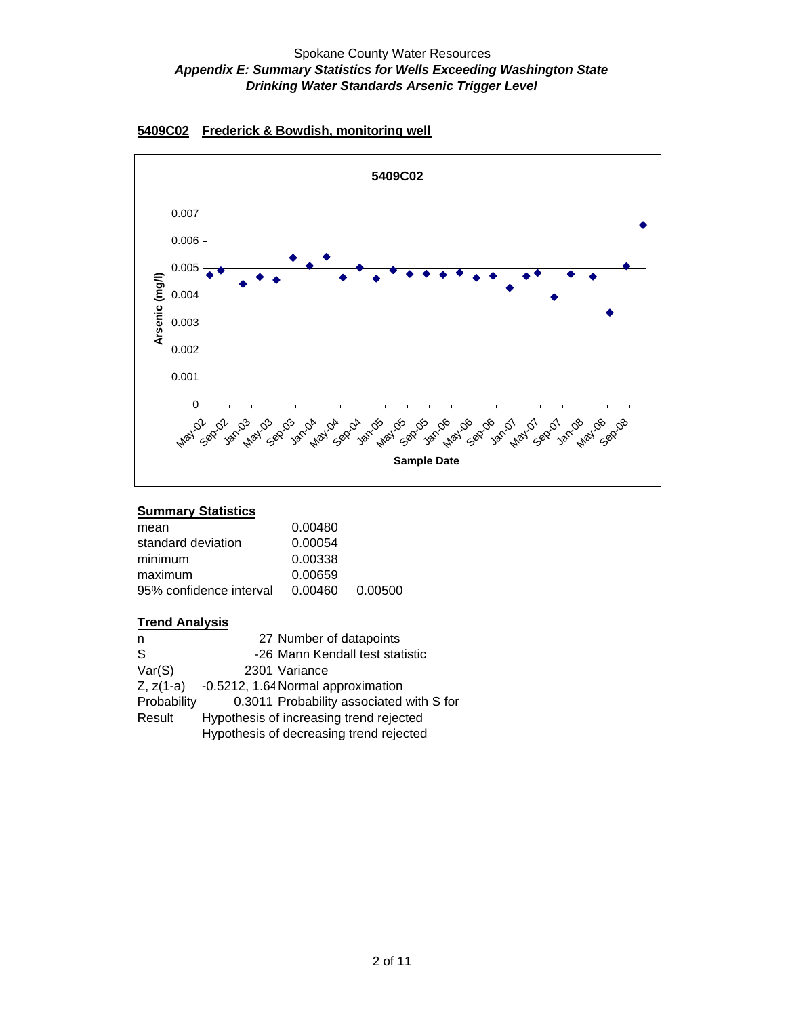

#### **5409C02 Frederick & Bowdish, monitoring well**

#### **Summary Statistics**

| mean                    | 0.00480 |         |
|-------------------------|---------|---------|
| standard deviation      | 0.00054 |         |
| minimum                 | 0.00338 |         |
| maximum                 | 0.00659 |         |
| 95% confidence interval | 0.00460 | 0.00500 |

| n            | 27 Number of datapoints                  |
|--------------|------------------------------------------|
| <sub>S</sub> | -26 Mann Kendall test statistic          |
| Var(S)       | 2301 Variance                            |
| $Z, z(1-a)$  | -0.5212, 1.64 Normal approximation       |
| Probability  | 0.3011 Probability associated with S for |
| Result       | Hypothesis of increasing trend rejected  |
|              | Hypothesis of decreasing trend rejected  |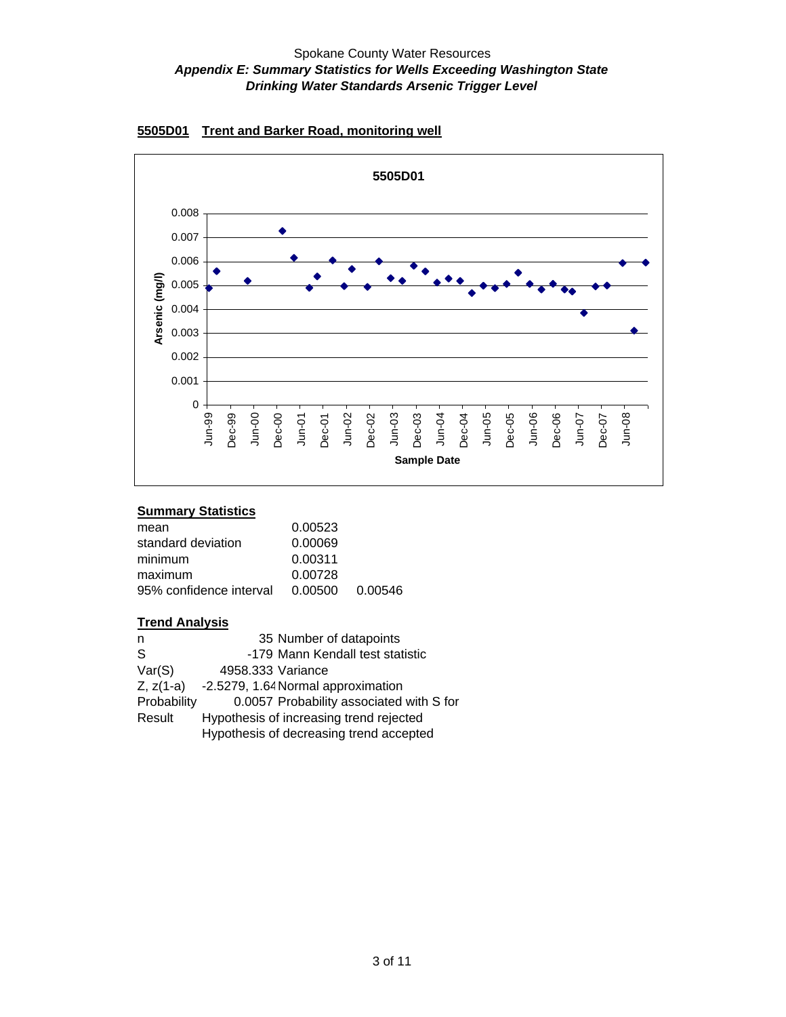

### **5505D01 Trent and Barker Road, monitoring well**

#### **Summary Statistics**

| 0.00523         |  |
|-----------------|--|
| 0.00069         |  |
| 0.00311         |  |
| 0.00728         |  |
| 0.00500 0.00546 |  |
|                 |  |

| n            | 35 Number of datapoints                  |
|--------------|------------------------------------------|
| <sub>S</sub> | -179 Mann Kendall test statistic         |
| Var(S)       | 4958.333 Variance                        |
| $Z, z(1-a)$  | -2.5279, 1.64 Normal approximation       |
| Probability  | 0.0057 Probability associated with S for |
| Result       | Hypothesis of increasing trend rejected  |
|              | Hypothesis of decreasing trend accepted  |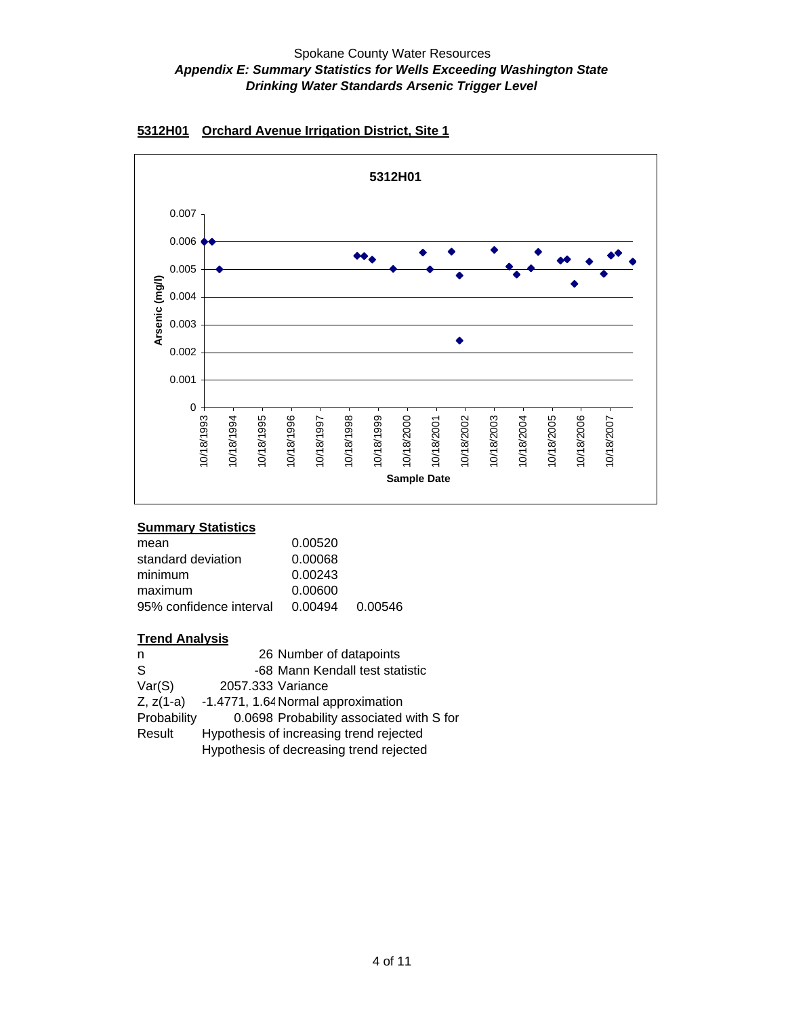

## **5312H01 Orchard Avenue Irrigation District, Site 1**

#### **Summary Statistics**

| mean                    | 0.00520 |                 |
|-------------------------|---------|-----------------|
| standard deviation      | 0.00068 |                 |
| minimum                 | 0.00243 |                 |
| maximum                 | 0.00600 |                 |
| 95% confidence interval |         | 0.00494 0.00546 |

| n           | 26 Number of datapoints                        |
|-------------|------------------------------------------------|
| S           | -68 Mann Kendall test statistic                |
| Var(S)      | 2057.333 Variance                              |
|             | $Z, z(1-a)$ -1.4771, 1.64 Normal approximation |
| Probability | 0.0698 Probability associated with S for       |
| Result      | Hypothesis of increasing trend rejected        |
|             | Hypothesis of decreasing trend rejected        |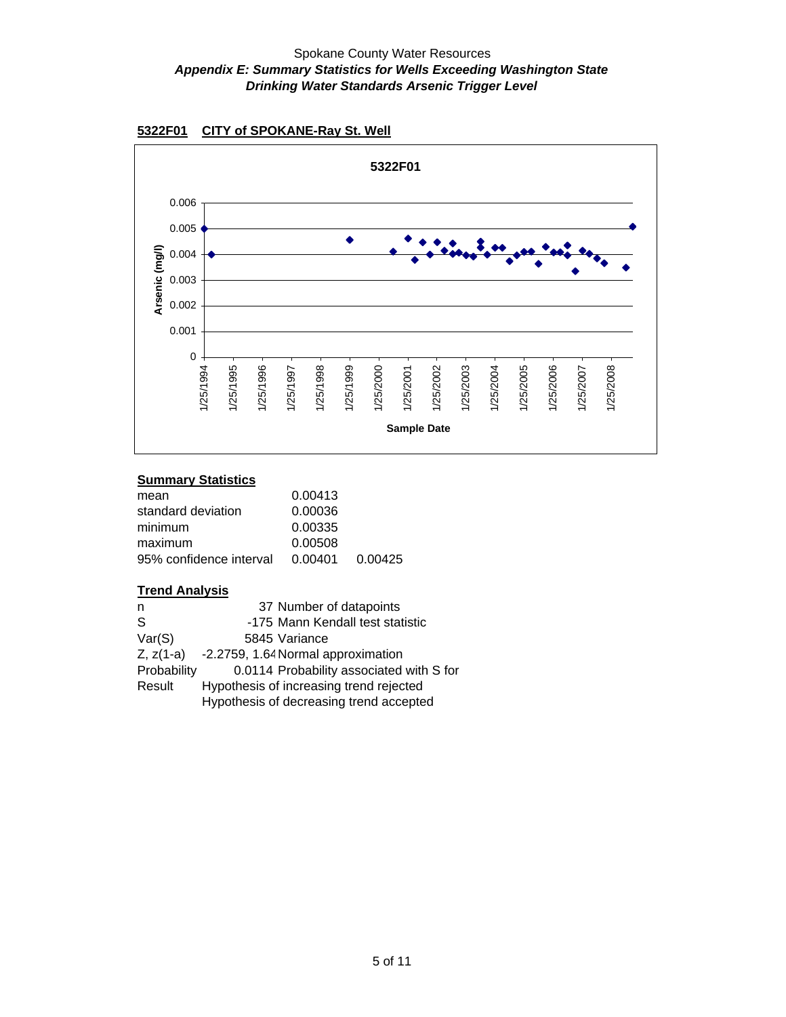



## **Summary Statistics**

| 0.00413 |         |
|---------|---------|
| 0.00036 |         |
| 0.00335 |         |
| 0.00508 |         |
| 0.00401 | 0.00425 |
|         |         |

| n           | 37 Number of datapoints                  |
|-------------|------------------------------------------|
| S           | -175 Mann Kendall test statistic         |
| Var(S)      | 5845 Variance                            |
| $Z, z(1-a)$ | -2.2759, 1.64 Normal approximation       |
| Probability | 0.0114 Probability associated with S for |
| Result      | Hypothesis of increasing trend rejected  |
|             | Hypothesis of decreasing trend accepted  |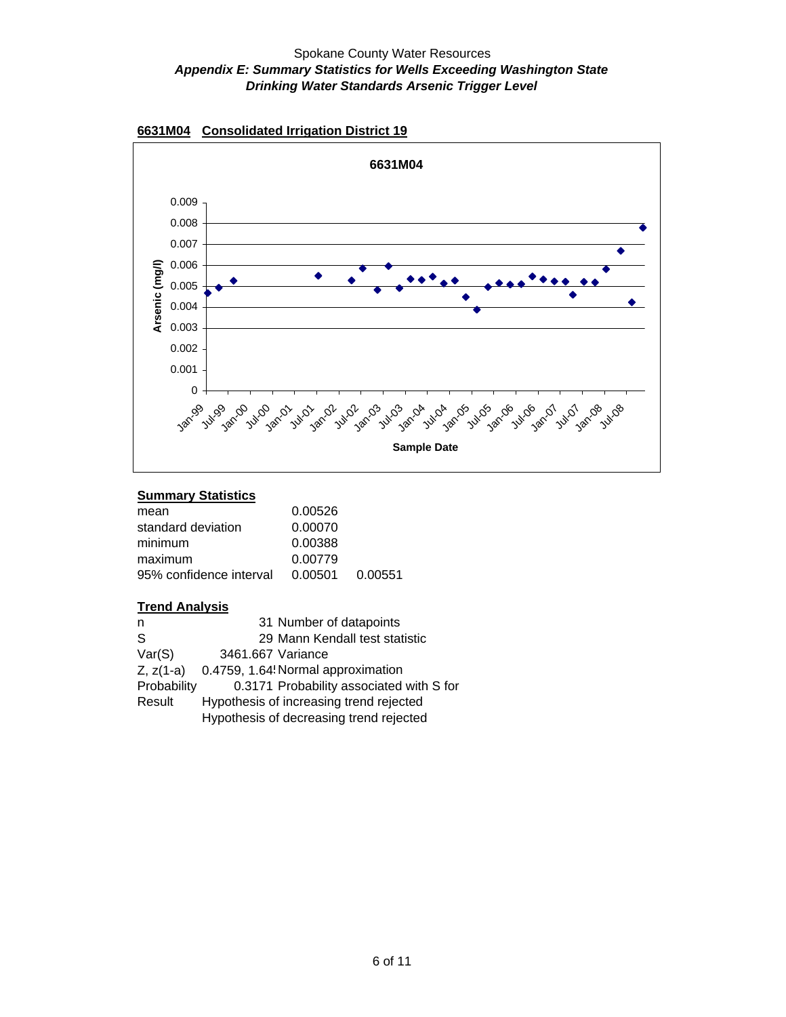

#### **6631M04 Consolidated Irrigation District 19**

#### **Summary Statistics**

| mean                    | 0.00526         |  |
|-------------------------|-----------------|--|
| standard deviation      | 0.00070         |  |
| minimum                 | 0.00388         |  |
| maximum                 | 0.00779         |  |
| 95% confidence interval | 0.00501 0.00551 |  |
|                         |                 |  |

| 31 Number of datapoints                  |
|------------------------------------------|
| 29 Mann Kendall test statistic           |
| 3461.667 Variance                        |
| 0.4759, 1.64! Normal approximation       |
| 0.3171 Probability associated with S for |
| Hypothesis of increasing trend rejected  |
| Hypothesis of decreasing trend rejected  |
|                                          |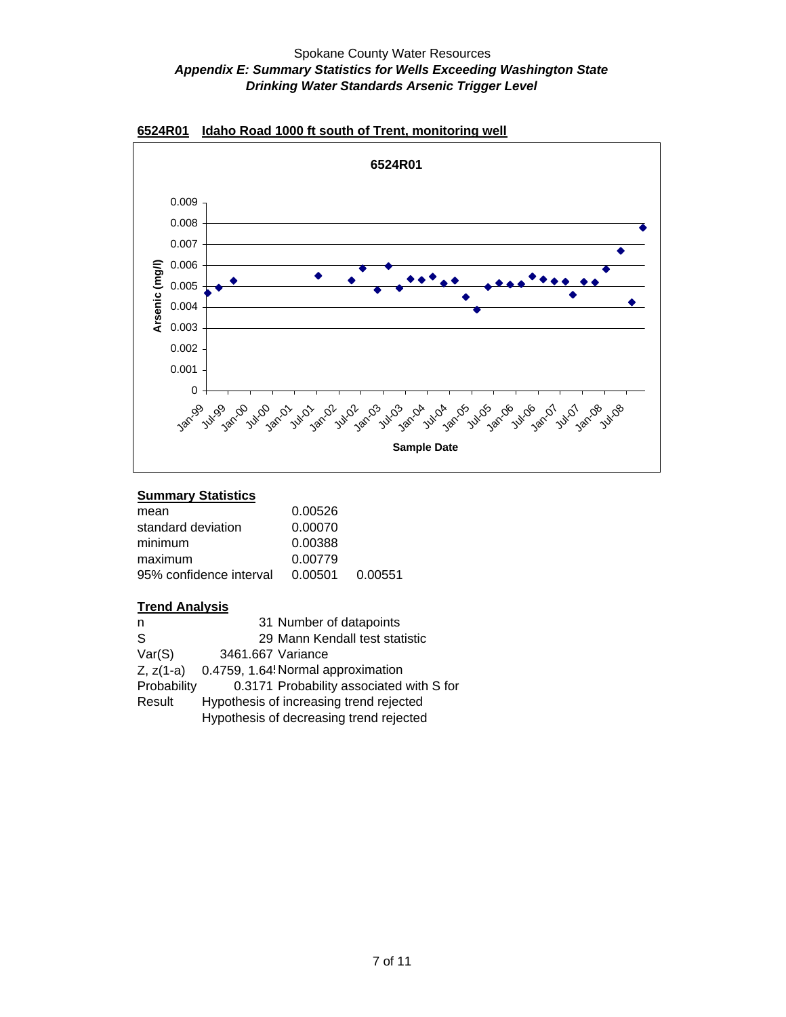

### **6524R01 Idaho Road 1000 ft south of Trent, monitoring well**

#### **Summary Statistics**

| mean                    | 0.00526         |  |
|-------------------------|-----------------|--|
| standard deviation      | 0.00070         |  |
| minimum                 | 0.00388         |  |
| maximum                 | 0.00779         |  |
| 95% confidence interval | 0.00501 0.00551 |  |
|                         |                 |  |

| 31 Number of datapoints                  |
|------------------------------------------|
| 29 Mann Kendall test statistic           |
| 3461.667 Variance                        |
| 0.4759, 1.64! Normal approximation       |
| 0.3171 Probability associated with S for |
| Hypothesis of increasing trend rejected  |
| Hypothesis of decreasing trend rejected  |
|                                          |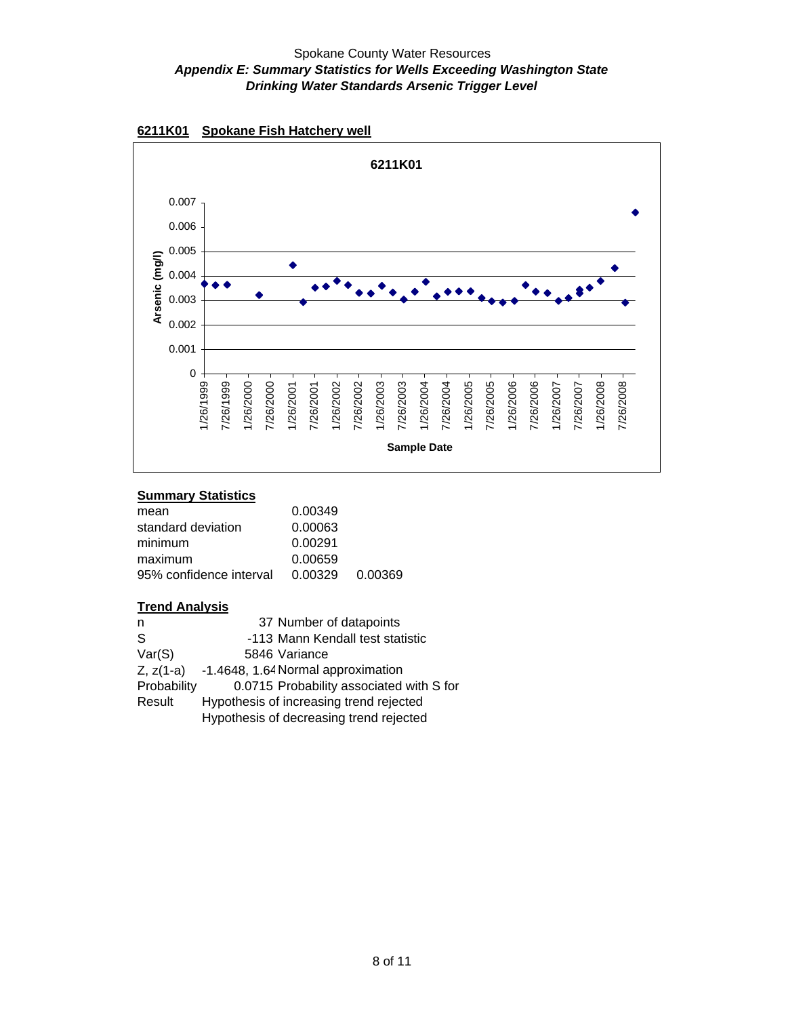

#### **6211K01 Spokane Fish Hatchery well**

### **Summary Statistics**

| mean                    | 0.00349         |  |
|-------------------------|-----------------|--|
| standard deviation      | 0.00063         |  |
| minimum                 | 0.00291         |  |
| maximum                 | 0.00659         |  |
| 95% confidence interval | 0.00329 0.00369 |  |
|                         |                 |  |

| n            | 37 Number of datapoints                        |
|--------------|------------------------------------------------|
| <sub>S</sub> | -113 Mann Kendall test statistic               |
| Var(S)       | 5846 Variance                                  |
|              | $Z, z(1-a)$ -1.4648, 1.64 Normal approximation |
| Probability  | 0.0715 Probability associated with S for       |
| Result       | Hypothesis of increasing trend rejected        |
|              | Hypothesis of decreasing trend rejected        |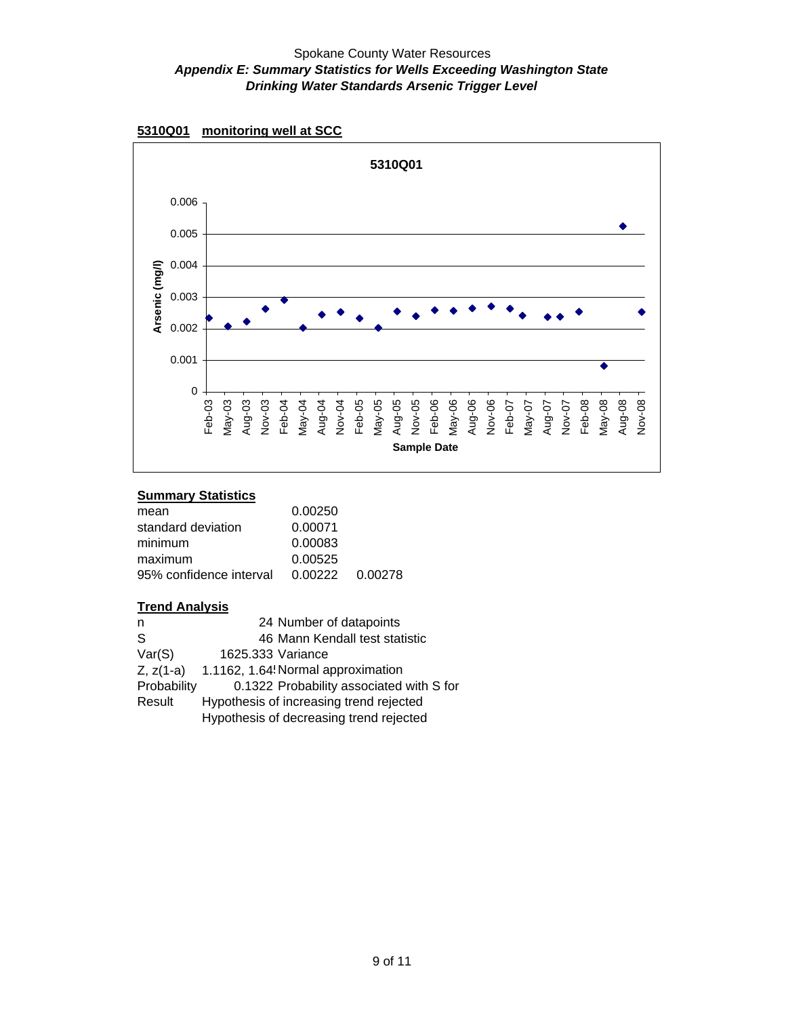



#### **Summary Statistics**

| mean                    | 0.00250         |  |
|-------------------------|-----------------|--|
| standard deviation      | 0.00071         |  |
| minimum                 | 0.00083         |  |
| maximum                 | 0.00525         |  |
| 95% confidence interval | 0.00222 0.00278 |  |
|                         |                 |  |

| 24 Number of datapoints                  |
|------------------------------------------|
| 46 Mann Kendall test statistic           |
| 1625.333 Variance                        |
| 1.1162, 1.64! Normal approximation       |
| 0.1322 Probability associated with S for |
| Hypothesis of increasing trend rejected  |
| Hypothesis of decreasing trend rejected  |
|                                          |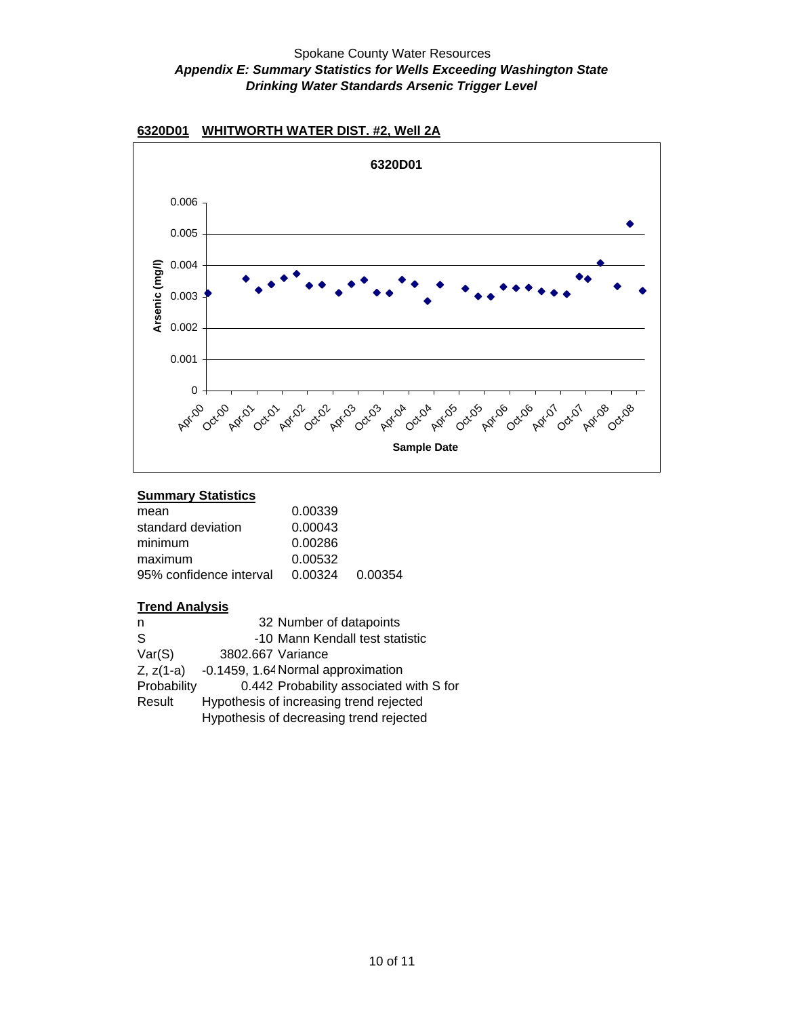

## **6320D01 WHITWORTH WATER DIST. #2, Well 2A**

#### **Summary Statistics**

| mean                    | 0.00339 |                 |
|-------------------------|---------|-----------------|
| standard deviation      | 0.00043 |                 |
| minimum                 | 0.00286 |                 |
| maximum                 | 0.00532 |                 |
| 95% confidence interval |         | 0.00324 0.00354 |
|                         |         |                 |

| n            | 32 Number of datapoints                 |
|--------------|-----------------------------------------|
| <sub>S</sub> | -10 Mann Kendall test statistic         |
| Var(S)       | 3802.667 Variance                       |
| $Z, z(1-a)$  | -0.1459, 1.64 Normal approximation      |
| Probability  | 0.442 Probability associated with S for |
| Result       | Hypothesis of increasing trend rejected |
|              | Hypothesis of decreasing trend rejected |